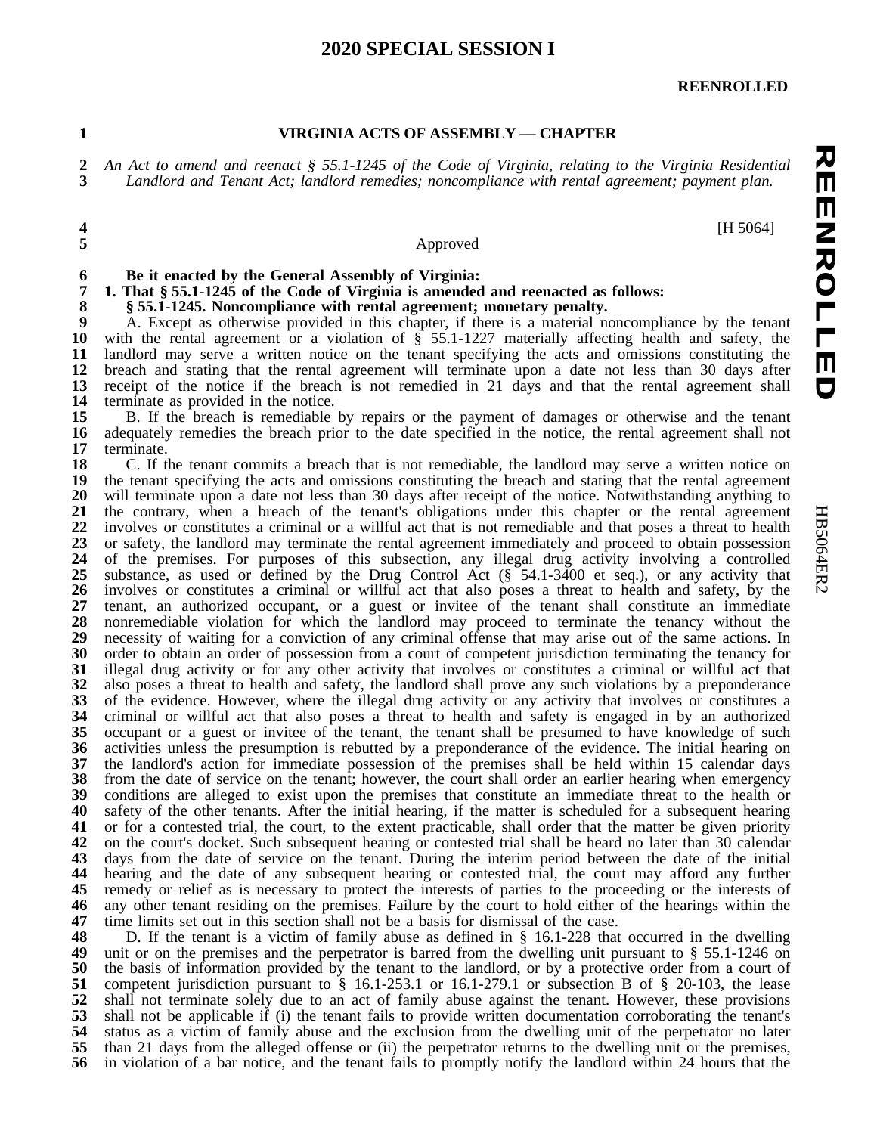### **SPECIAL SESSION I**

#### **REENROLLED**

#### **VIRGINIA ACTS OF ASSEMBLY –– CHAPTER**

**カロロママクロコロウ REENROLLED** 2 An Act to amend and reenact  $\S$  55.1-1245 of the Code of Virginia, relating to the Virginia Residential 3 Landlord and Tenant Act: landlord remedies: noncompliance with rental agreement: payment plan. *Landlord and Tenant Act; landlord remedies; noncompliance with rental agreement; payment plan.*

[H 5064]

### Approved

# **Be it enacted by the General Assembly of Virginia:**

# **1. That § 55.1-1245 of the Code of Virginia is amended and reenacted as follows:**

**§ 55.1-1245. Noncompliance with rental agreement; monetary penalty.**

 A. Except as otherwise provided in this chapter, if there is a material noncompliance by the tenant **10** with the rental agreement or a violation of § 55.1-1227 materially affecting health and safety, the with the rental agreement or a violation of  $\hat{\S}$  55.1-1227 materially affecting health and safety, the landlord may serve a written notice on the tenant specifying the acts and omissions constituting the 12 breach and stating that the rental agreement will terminate upon a date not less than 30 days after 13 receipt of the notice if the breach is not remedied in 21 days and that the rental agreement shall 13 receipt of the notice if the breach is not remedied in 21 days and that the rental agreement shall terminate as provided in the notice. **14** terminate as provided in the notice.<br>**15** B. If the breach is remediable

15 B. If the breach is remediable by repairs or the payment of damages or otherwise and the tenant 16 adequately remedies the breach prior to the date specified in the notice, the rental agreement shall not adequately remedies the breach prior to the date specified in the notice, the rental agreement shall not terminate.

 C. If the tenant commits a breach that is not remediable, the landlord may serve a written notice on **19** the tenant specifying the acts and omissions constituting the breach and stating that the rental agreement the tenant specifying the acts and omissions constituting the breach and stating that the rental agreement **20** will terminate upon a date not less than 30 days after receipt of the notice. Notwithstanding anything to 20 will terminate upon a date not less than 30 days after receipt of the notice. Notwithstanding anything to the contrary, when a breach of the tenant's obligations under this chapter or the rental agreement 21 the contrary, when a breach of the tenant's obligations under this chapter or the rental agreement involves or constitutes a criminal or a willful act that is not remediable and that poses a threat to health involves or constitutes a criminal or a willful act that is not remediable and that poses a threat to health 23 or safety, the landlord may terminate the rental agreement immediately and proceed to obtain possession 24 of the premises. For purposes of this subsection, any illegal drug activity involving a controlled 24 of the premises. For purposes of this subsection, any illegal drug activity involving a controlled 25 substance, as used or defined by the Drug Control Act  $(\S$  54.1-3400 et seq.), or any activity that 25 substance, as used or defined by the Drug Control Act (§ 54.1-3400 et seq.), or any activity that 26 involves or constitutes a criminal or willful act that also poses a threat to health and safety, by the involves or constitutes a criminal or willful act that also poses a threat to health and safety, by the 27 tenant, an authorized occupant, or a guest or invitee of the tenant shall constitute an immediate 28 nonremediable violation for which the landlord may proceed to terminate the tenancy without the nonremediable violation for which the landlord may proceed to terminate the tenancy without the necessity of waiting for a conviction of any criminal offense that may arise out of the same actions. In necessity of waiting for a conviction of any criminal offense that may arise out of the same actions. In order to obtain an order of possession from a court of competent iurisdiction terminating the tenancy for order to obtain an order of possession from a court of competent jurisdiction terminating the tenancy for **31** illegal drug activity or for any other activity that involves or constitutes a criminal or willful act tha illegal drug activity or for any other activity that involves or constitutes a criminal or willful act that also poses a threat to health and safety, the landlord shall prove any such violations by a preponderance also poses a threat to health and safety, the landlord shall prove any such violations by a preponderance of the evidence. However, where the illegal drug activity or any activity that involves or constitutes a<br>**34** criminal or willful act that also poses a threat to health and safety is engaged in by an authorized criminal or willful act that also poses a threat to health and safety is engaged in by an authorized occupant or a guest or invitee of the tenant, the tenant shall be presumed to have knowledge of such activities unless the presumption is rebutted by a preponderance of the evidence. The initial hearing on **37** the landlord's action for immediate possession of the premises shall be held within 15 calendar days the landlord's action for immediate possession of the premises shall be held within 15 calendar days from the date of service on the tenant; however, the court shall order an earlier hearing when emergency from the date of service on the tenant; however, the court shall order an earlier hearing when emergency conditions are alleged to exist upon the premises that constitute an immediate threat to the health or conditions are alleged to exist upon the premises that constitute an immediate threat to the health or **40** safety of the other tenants. After the initial hearing, if the matter is scheduled for a subsequent hearing safety of the other tenants. After the initial hearing, if the matter is scheduled for a subsequent hearing or for a contested trial, the court, to the extent practicable, shall order that the matter be given priority or for a contested trial, the court, to the extent practicable, shall order that the matter be given priority on the court's docket. Such subsequent hearing or contested trial shall be heard no later than 30 calendar days from the date of service on the tenant. During the interim period between the date of the initial hearing and the date of any subsequent hearing or contested trial, the court may afford any further remedy or relief as is necessary to protect the interests of parties to the proceeding or the interests of remedy or relief as is necessary to protect the interests of parties to the proceeding or the interests of **46** any other tenant residing on the premises. Failure by the court to hold either of the hearings within the any other tenant residing on the premises. Failure by the court to hold either of the hearings within the time limits set out in this section shall not be a basis for dismissal of the case. time limits set out in this section shall not be a basis for dismissal of the case.<br>**48** D. If the tenant is a victim of family abuse as defined in § 16.1-228 that

 D. If the tenant is a victim of family abuse as defined in § 16.1-228 that occurred in the dwelling unit or on the premises and the perpetrator is barred from the dwelling unit pursuant to § 55.1-1246 on unit or on the premises and the perpetrator is barred from the dwelling unit pursuant to § 55.1-1246 on the basis of information provided by the tenant to the landlord, or by a protective order from a court of the basis of information provided by the tenant to the landlord, or by a protective order from a court of competent jurisdiction pursuant to § 16.1-253.1 or 16.1-279.1 or subsection B of § 20-103, the lease competent jurisdiction pursuant to § 16.1-253.1 or 16.1-279.1 or subsection B of § 20-103, the lease shall not terminate solely due to an act of family abuse against the tenant. However, these provisions shall not terminate solely due to an act of family abuse against the tenant. However, these provisions **53** shall not be applicable if (i) the tenant fails to provide written documentation corroborating the tenant's shall not be applicable if (i) the tenant fails to provide written documentation corroborating the tenant's **54** status as a victim of family abuse and the exclusion from the dwelling unit of the perpetrator no later 54 status as a victim of family abuse and the exclusion from the dwelling unit of the perpetrator no later than 21 days from the alleged offense or (ii) the perpetrator returns to the dwelling unit or the premises, than 21 days from the alleged offense or (ii) the perpetrator returns to the dwelling unit or the premises, in violation of a bar notice, and the tenant fails to promptly notify the landlord within 24 hours that the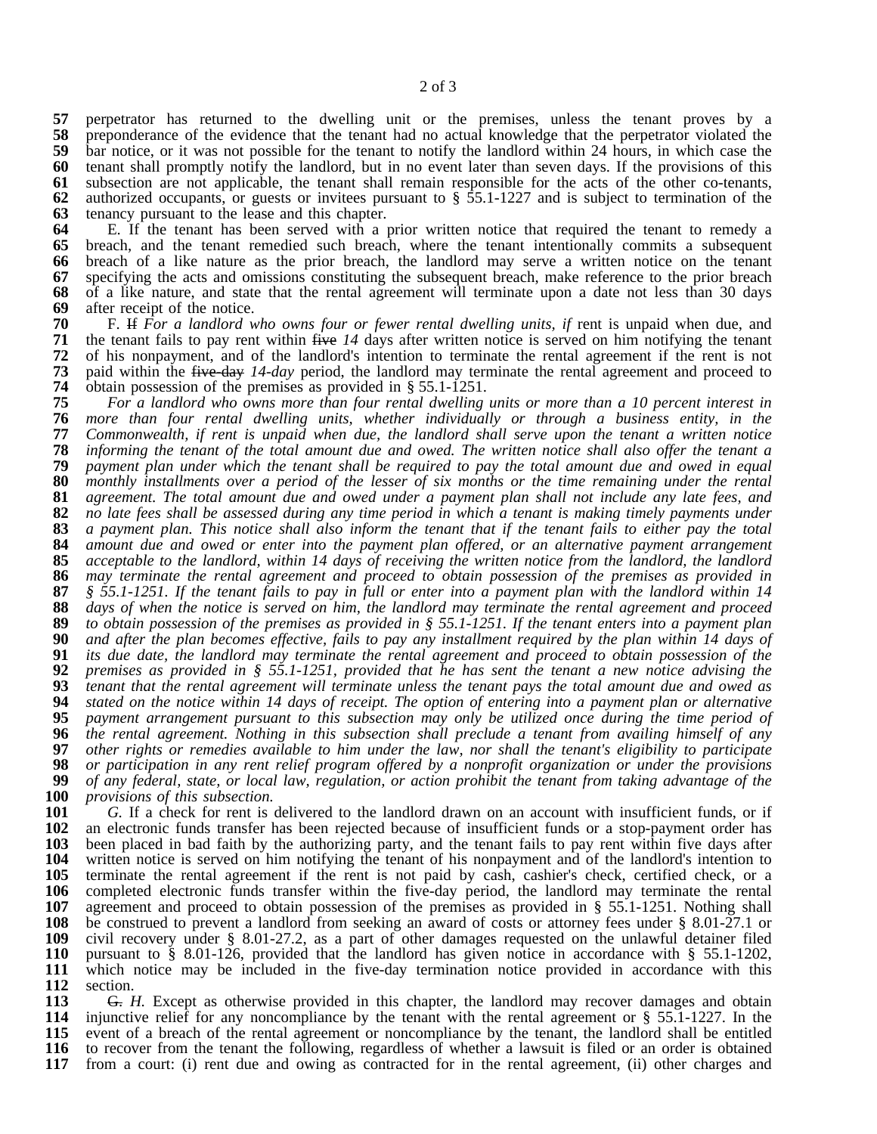57 perpetrator has returned to the dwelling unit or the premises, unless the tenant proves by a preponderance of the evidence that the tenant had no actual knowledge that the perpetrator violated the preponderance of the evidence that the tenant had no actual knowledge that the perpetrator violated the bar notice, or it was not possible for the tenant to notify the landlord within 24 hours, in which case the bar notice, or it was not possible for the tenant to notify the landlord within 24 hours, in which case the **60** tenant shall promptly notify the landlord, but in no event later than seven days. If the provisions of t tenant shall promptly notify the landlord, but in no event later than seven days. If the provisions of this subsection are not applicable, the tenant shall remain responsible for the acts of the other co-tenants, authorized occupants, or guests or invitees pursuant to  $\S$  55.1-1227 and is subject to termination of the tensilien to the lease and this chapter. tenancy pursuant to the lease and this chapter.

 E. If the tenant has been served with a prior written notice that required the tenant to remedy a breach, and the tenant remedied such breach, where the tenant intentionally commits a subsequent **66** breach of a like nature as the prior breach, the landlord may serve a written notice on the tenant breach of a like nature as the prior breach, the landlord may serve a written notice on the tenant specifying the acts and omissions constituting the subsequent breach, make reference to the prior breach specifying the acts and omissions constituting the subsequent breach, make reference to the prior breach **68** of a like nature, and state that the rental agreement will terminate upon a date not less than 30 days of a like nature, and state that the rental agreement will terminate upon a date not less than 30 days after receipt of the notice.<br>**70** F. H. For a landlord w

 F. If *For a landlord who owns four or fewer rental dwelling units, if* rent is unpaid when due, and the tenant fails to pay rent within five 14 days after written notice is served on him notifying the tenant **72** of his nonpayment, and of the landlord's intention to terminate the rental agreement if the rent is not of his nonpayment, and of the landlord's intention to terminate the rental agreement if the rent is not paid within the five-day 14-day period, the landlord may terminate the rental agreement and proceed to paid within the five-day 14-day period, the landlord may terminate the rental agreement and proceed to **74** obtain possession of the premises as provided in § 55.1-1251. obtain possession of the premises as provided in § 55.1-1251.<br>**75** For a landlord who owns more than four rental dwelling

For a landlord who owns more than four rental dwelling units or more than a 10 percent interest in **76** *more than four rental dwelling units, whether individually or through a business entity, in the* 77 Commonwealth, if rent is unpaid when due, the landlord shall serve upon the tenant a written notice<br>78 informing the tenant of the total amount due and owed. The written notice shall also offer the tenant a **18** informing the tenant of the total amount due and owed. The written notice shall also offer the tenant a<br>**19** payment plan under which the tenant shall be required to pay the total amount due and owed in equal 79 payment plan under which the tenant shall be required to pay the total amount due and owed in equal<br>80 monthly installments over a period of the lesser of six months or the time remaining under the rental 80 monthly installments over a period of the lesser of six months or the time remaining under the rental 81 agreement. The total amount due and owed under a payment plan shall not include any late fees, and 81 agreement. The total amount due and owed under a payment plan shall not include any late fees, and<br>82 no late fees shall be assessed during any time period in which a tenant is making timely payments under 82 no late fees shall be assessed during any time period in which a tenant is making timely payments under<br>83 a payment plan. This notice shall also inform the tenant that if the tenant fails to either pay the total 83 a payment plan. This notice shall also inform the tenant that if the tenant fails to either pay the total<br>84 amount due and owed or enter into the payment plan offered, or an alternative payment arrangement **84** *amount due and owed or enter into the payment plan offered, or an alternative payment arrangement* 85 acceptable to the landlord, within 14 days of receiving the written notice from the landlord, the landlord<br>86 may terminate the rental agreement and proceed to obtain possession of the premises as provided in **86** *may terminate the rental agreement and proceed to obtain possession of the premises as provided in*  $\frac{8}{3}$  55.1-1251. If the tenant fails to pay in full or enter into a payment plan with the landlord within 14 88 days of when the notice is served on him, the landlord may terminate the rental agreement and proceed<br>89 to obtain possession of the premises as provided in  $\frac{1}{2}$  55.1-1251. If the tenant enters into a payment plan 89 to obtain possession of the premises as provided in  $\S$  55.1-1251. If the tenant enters into a payment plan<br>90 and after the plan becomes effective, fails to pay any installment reauired by the plan within 14 days of **90** and after the plan becomes effective, fails to pay any installment required by the plan within 14 days of **91** its due date, the landlord may terminate the rental agreement and proceed to obtain possession of the 91 its due date, the landlord may terminate the rental agreement and proceed to obtain possession of the 92 premises as provided in  $\S$  55.1-1251, provided that he has sent the tenant a new notice advising the 92 premises as provided in § 55.1-1251, provided that he has sent the tenant a new notice advising the 93 tenant that the rental agreement will terminate unless the tenant pays the total amount due and owed as 93 tenant that the rental agreement will terminate unless the tenant pays the total amount due and owed as<br>94 stated on the notice within 14 days of receipt. The option of entering into a payment plan or alternative 94 stated on the notice within 14 days of receipt. The option of entering into a payment plan or alternative<br>95 payment arrangement pursuant to this subsection may only be utilized once during the time period of **95** *payment arrangement pursuant to this subsection may only be utilized once during the time period of* **96** *the rental agreement. Nothing in this subsection shall preclude a tenant from availing himself of any* 97 other rights or remedies available to him under the law, nor shall the tenant's eligibility to participate<br>98 or participation in any rent relief program offered by a nonprofit organization or under the provisions 98 or participation in any rent relief program offered by a nonprofit organization or under the provisions<br>99 of any federal, state, or local law, regulation, or action prohibit the tenant from taking advantage of the of any federal, state, or local law, regulation, or action prohibit the tenant from taking advantage of the **100** *provisions of this subsection.*

**a** *G.* If a check for rent is delivered to the landlord drawn on an account with insufficient funds, or if 102 an electronic funds transfer has been rejected because of insufficient funds or a stop-payment order has an electronic funds transfer has been rejected because of insufficient funds or a stop-payment order has **103** been placed in bad faith by the authorizing party, and the tenant fails to pay rent within five days afte been placed in bad faith by the authorizing party, and the tenant fails to pay rent within five days after **104** written notice is served on him notifying the tenant of his nonpayment and of the landlord's intention written notice is served on him notifying the tenant of his nonpayment and of the landlord's intention to **105** terminate the rental agreement if the rent is not paid by cash, cashier's check, certified check, or a terminate the rental agreement if the rent is not paid by cash, cashier's check, certified check, or a completed electronic funds transfer within the five-day period, the landlord may terminate the rental agreement and proceed to obtain possession of the premises as provided in § 55.1-1251. Nothing shall **108** be construed to prevent a landlord from seeking an award of costs or attorney fees under § 8.01-27.1 or be construed to prevent a landlord from seeking an award of costs or attorney fees under § 8.01-27.1 or **109** civil recovery under § 8.01-27.2, as a part of other damages requested on the unlawful detainer filed civil recovery under § 8.01-27.2, as a part of other damages requested on the unlawful detainer filed **110** pursuant to § 8.01-126, provided that the landlord has given notice in accordance with § 55.1-1202, 110 pursuant to § 8.01-126, provided that the landlord has given notice in accordance with § 55.1-1202, 111 which notice may be included in the five-day termination notice provided in accordance with this which notice may be included in the five-day termination notice provided in accordance with this section.<br>**113** <del>G.</del> *H*.

 G. *H.* Except as otherwise provided in this chapter, the landlord may recover damages and obtain 114 injunctive relief for any noncompliance by the tenant with the rental agreement or § 55.1-1227. In the injunctive relief for any noncompliance by the tenant with the rental agreement or § 55.1-1227. In the event of a breach of the rental agreement or noncompliance by the tenant, the landlord shall be entitled event of a breach of the rental agreement or noncompliance by the tenant, the landlord shall be entitled **116** to recover from the tenant the following, regardless of whether a lawsuit is filed or an order is obtaine to recover from the tenant the following, regardless of whether a lawsuit is filed or an order is obtained from a court: (i) rent due and owing as contracted for in the rental agreement, (ii) other charges and